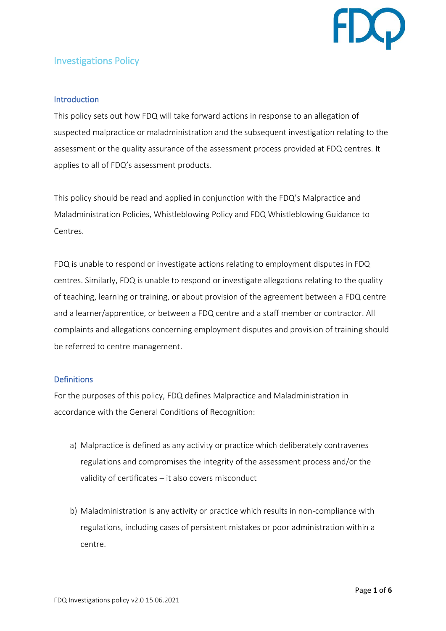

# Investigations Policy

# **Introduction**

This policy sets out how FDQ will take forward actions in response to an allegation of suspected malpractice or maladministration and the subsequent investigation relating to the assessment or the quality assurance of the assessment process provided at FDQ centres. It applies to all of FDQ's assessment products.

This policy should be read and applied in conjunction with the FDQ's Malpractice and Maladministration Policies, Whistleblowing Policy and FDQ Whistleblowing Guidance to Centres.

FDQ is unable to respond or investigate actions relating to employment disputes in FDQ centres. Similarly, FDQ is unable to respond or investigate allegations relating to the quality of teaching, learning or training, or about provision of the agreement between a FDQ centre and a learner/apprentice, or between a FDQ centre and a staff member or contractor. All complaints and allegations concerning employment disputes and provision of training should be referred to centre management.

# Definitions

For the purposes of this policy, FDQ defines Malpractice and Maladministration in accordance with the General Conditions of Recognition:

- a) Malpractice is defined as any activity or practice which deliberately contravenes regulations and compromises the integrity of the assessment process and/or the validity of certificates – it also covers misconduct
- b) Maladministration is any activity or practice which results in non-compliance with regulations, including cases of persistent mistakes or poor administration within a centre.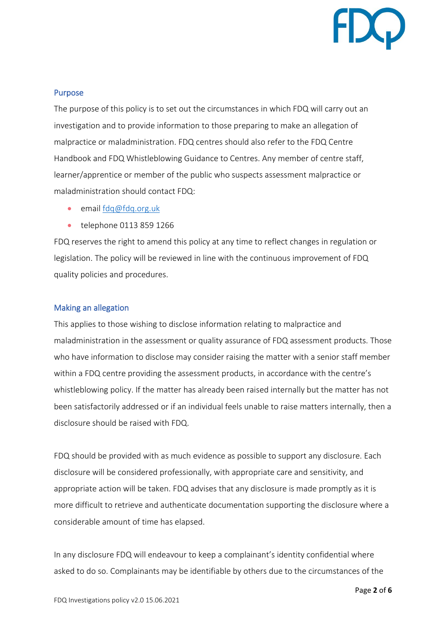

#### Purpose

The purpose of this policy is to set out the circumstances in which FDQ will carry out an investigation and to provide information to those preparing to make an allegation of malpractice or maladministration. FDQ centres should also refer to the FDQ Centre Handbook and FDQ Whistleblowing Guidance to Centres. Any member of centre staff, learner/apprentice or member of the public who suspects assessment malpractice or maladministration should contact FDQ:

- email [fdq@fdq.org.uk](mailto:fdq@fdq.org.uk)
- telephone 0113 859 1266

FDQ reserves the right to amend this policy at any time to reflect changes in regulation or legislation. The policy will be reviewed in line with the continuous improvement of FDQ quality policies and procedures.

#### Making an allegation

This applies to those wishing to disclose information relating to malpractice and maladministration in the assessment or quality assurance of FDQ assessment products. Those who have information to disclose may consider raising the matter with a senior staff member within a FDQ centre providing the assessment products, in accordance with the centre's whistleblowing policy. If the matter has already been raised internally but the matter has not been satisfactorily addressed or if an individual feels unable to raise matters internally, then a disclosure should be raised with FDQ.

FDQ should be provided with as much evidence as possible to support any disclosure. Each disclosure will be considered professionally, with appropriate care and sensitivity, and appropriate action will be taken. FDQ advises that any disclosure is made promptly as it is more difficult to retrieve and authenticate documentation supporting the disclosure where a considerable amount of time has elapsed.

In any disclosure FDQ will endeavour to keep a complainant's identity confidential where asked to do so. Complainants may be identifiable by others due to the circumstances of the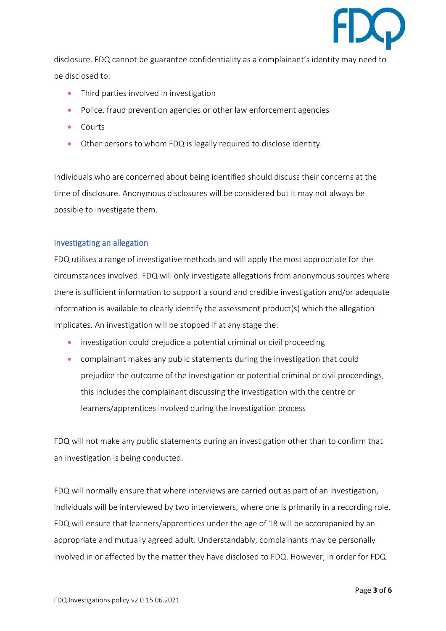

disclosure. FDQ cannot be guarantee confidentiality as a complainant's identity may need to be disclosed to:

- Third parties involved in investigation
- Police, fraud prevention agencies or other law enforcement agencies
- Courts
- Other persons to whom FDQ is legally required to disclose identity.

Individuals who are concerned about being identified should discuss their concerns at the time of disclosure. Anonymous disclosures will be considered but it may not always be possible to investigate them.

# Investigating an allegation

FDQ utilises a range of investigative methods and will apply the most appropriate for the circumstances involved. FDQ will only investigate allegations from anonymous sources where there is sufficient information to support a sound and credible investigation and/or adequate information is available to clearly identify the assessment product(s) which the allegation implicates. An investigation will be stopped if at any stage the:

- investigation could prejudice a potential criminal or civil proceeding
- complainant makes any public statements during the investigation that could prejudice the outcome of the investigation or potential criminal or civil proceedings, this includes the complainant discussing the investigation with the centre or learners/apprentices involved during the investigation process

FDQ will not make any public statements during an investigation other than to confirm that an investigation is being conducted.

FDQ will normally ensure that where interviews are carried out as part of an investigation, individuals will be interviewed by two interviewers, where one is primarily in a recording role. FDQ will ensure that learners/apprentices under the age of 18 will be accompanied by an appropriate and mutually agreed adult. Understandably, complainants may be personally involved in or affected by the matter they have disclosed to FDQ. However, in order for FDQ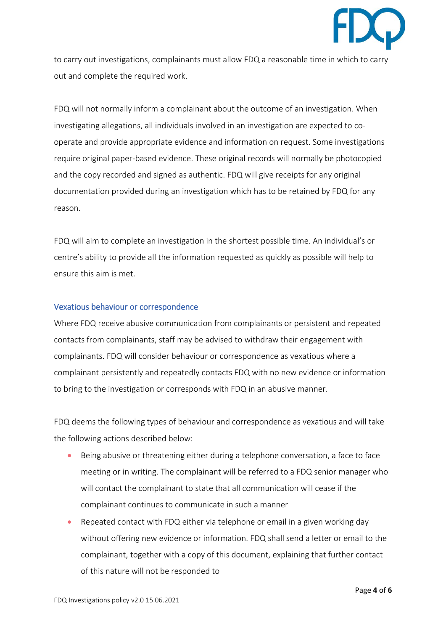

to carry out investigations, complainants must allow FDQ a reasonable time in which to carry out and complete the required work.

FDQ will not normally inform a complainant about the outcome of an investigation. When investigating allegations, all individuals involved in an investigation are expected to cooperate and provide appropriate evidence and information on request. Some investigations require original paper-based evidence. These original records will normally be photocopied and the copy recorded and signed as authentic. FDQ will give receipts for any original documentation provided during an investigation which has to be retained by FDQ for any reason.

FDQ will aim to complete an investigation in the shortest possible time. An individual's or centre's ability to provide all the information requested as quickly as possible will help to ensure this aim is met.

#### Vexatious behaviour or correspondence

Where FDQ receive abusive communication from complainants or persistent and repeated contacts from complainants, staff may be advised to withdraw their engagement with complainants. FDQ will consider behaviour or correspondence as vexatious where a complainant persistently and repeatedly contacts FDQ with no new evidence or information to bring to the investigation or corresponds with FDQ in an abusive manner.

FDQ deems the following types of behaviour and correspondence as vexatious and will take the following actions described below:

- Being abusive or threatening either during a telephone conversation, a face to face meeting or in writing. The complainant will be referred to a FDQ senior manager who will contact the complainant to state that all communication will cease if the complainant continues to communicate in such a manner
- Repeated contact with FDQ either via telephone or email in a given working day without offering new evidence or information. FDQ shall send a letter or email to the complainant, together with a copy of this document, explaining that further contact of this nature will not be responded to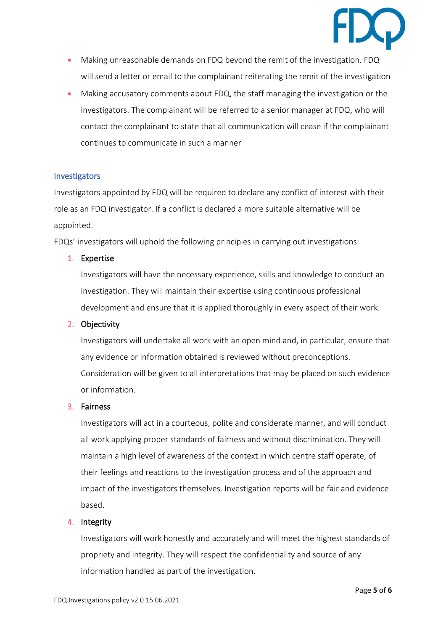

- Making unreasonable demands on FDQ beyond the remit of the investigation. FDQ will send a letter or email to the complainant reiterating the remit of the investigation
- Making accusatory comments about FDQ, the staff managing the investigation or the investigators. The complainant will be referred to a senior manager at FDQ, who will contact the complainant to state that all communication will cease if the complainant continues to communicate in such a manner

#### **Investigators**

Investigators appointed by FDQ will be required to declare any conflict of interest with their role as an FDQ investigator. If a conflict is declared a more suitable alternative will be appointed.

FDQs' investigators will uphold the following principles in carrying out investigations:

#### 1. Expertise

Investigators will have the necessary experience, skills and knowledge to conduct an investigation. They will maintain their expertise using continuous professional development and ensure that it is applied thoroughly in every aspect of their work.

#### 2. Objectivity

Investigators will undertake all work with an open mind and, in particular, ensure that any evidence or information obtained is reviewed without preconceptions. Consideration will be given to all interpretations that may be placed on such evidence or information.

#### 3. Fairness

Investigators will act in a courteous, polite and considerate manner, and will conduct all work applying proper standards of fairness and without discrimination. They will maintain a high level of awareness of the context in which centre staff operate, of their feelings and reactions to the investigation process and of the approach and impact of the investigators themselves. Investigation reports will be fair and evidence based.

#### 4. Integrity

Investigators will work honestly and accurately and will meet the highest standards of propriety and integrity. They will respect the confidentiality and source of any information handled as part of the investigation.